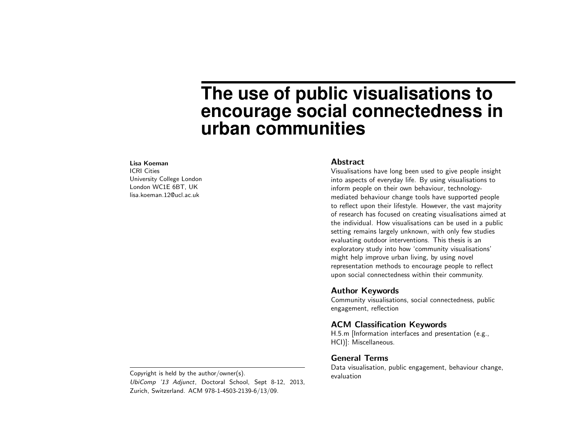# **The use of public visualisations to encourage social connectedness in urban communities**

#### Lisa Koeman

ICRI Cities University College London London WC1E 6BT, UK lisa.koeman.12@ucl.ac.uk

#### Abstract

Visualisations have long been used to give people insight into aspects of everyday life. By using visualisations to inform people on their own behaviour, technologymediated behaviour change tools have supported people to reflect upon their lifestyle. However, the vast majority of research has focused on creating visualisations aimed at the individual. How visualisations can be used in a public setting remains largely unknown, with only few studies evaluating outdoor interventions. This thesis is an exploratory study into how 'community visualisations' might help improve urban living, by using novel representation methods to encourage people to reflect upon social connectedness within their community.

### Author Keywords

Community visualisations, social connectedness, public engagement, reflection

# ACM Classification Keywords

H.5.m [Information interfaces and presentation (e.g., HCI)]: Miscellaneous.

## General Terms

Data visualisation, public engagement, behaviour change, evaluation

Copyright is held by the author/owner(s). UbiComp '13 Adjunct, Doctoral School, Sept 8-12, 2013, Zurich, Switzerland. ACM 978-1-4503-2139-6/13/09.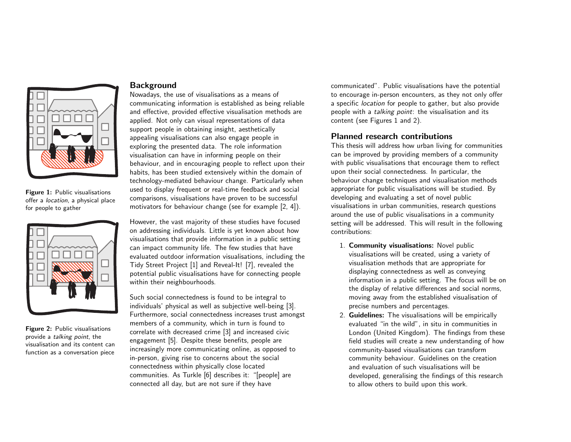

<span id="page-1-0"></span>Figure 1: Public visualisations offer a location, a physical place for people to gather



Figure 2: Public visualisations provide a talking point, the visualisation and its content can function as a conversation piece

# Background

Nowadays, the use of visualisations as a means of communicating information is established as being reliable and effective, provided effective visualisation methods are applied. Not only can visual representations of data support people in obtaining insight, aesthetically appealing visualisations can also engage people in exploring the presented data. The role information visualisation can have in informing people on their behaviour, and in encouraging people to reflect upon their habits, has been studied extensively within the domain of technology-mediated behaviour change. Particularly when used to display frequent or real-time feedback and social comparisons, visualisations have proven to be successful motivators for behaviour change (see for example [\[2,](#page-3-0) [4\]](#page-3-1)).

However, the vast majority of these studies have focused on addressing individuals. Little is yet known about how visualisations that provide information in a public setting can impact community life. The few studies that have evaluated outdoor information visualisations, including the Tidy Street Project [\[1\]](#page-3-2) and Reveal-It! [\[7\]](#page-3-3), revealed the potential public visualisations have for connecting people within their neighbourhoods.

<span id="page-1-1"></span>Such social connectedness is found to be integral to individuals' physical as well as subjective well-being [\[3\]](#page-3-4). Furthermore, social connectedness increases trust amongst members of a community, which in turn is found to correlate with decreased crime [\[3\]](#page-3-4) and increased civic engagement [\[5\]](#page-3-5). Despite these benefits, people are increasingly more communicating online, as opposed to in-person, giving rise to concerns about the social connectedness within physically close located communities. As Turkle [\[6\]](#page-3-6) describes it: "[people] are connected all day, but are not sure if they have

communicated". Public visualisations have the potential to encourage in-person encounters, as they not only offer a specific location for people to gather, but also provide people with a *talking point*: the visualisation and its content (see Figures [1](#page-1-0) and [2\)](#page-1-1).

# Planned research contributions

This thesis will address how urban living for communities can be improved by providing members of a community with public visualisations that encourage them to reflect upon their social connectedness. In particular, the behaviour change techniques and visualisation methods appropriate for public visualisations will be studied. By developing and evaluating a set of novel public visualisations in urban communities, research questions around the use of public visualisations in a community setting will be addressed. This will result in the following contributions:

- 1. Community visualisations: Novel public visualisations will be created, using a variety of visualisation methods that are appropriate for displaying connectedness as well as conveying information in a public setting. The focus will be on the display of relative differences and social norms, moving away from the established visualisation of precise numbers and percentages.
- 2. Guidelines: The visualisations will be empirically evaluated "in the wild", in situ in communities in London (United Kingdom). The findings from these field studies will create a new understanding of how community-based visualisations can transform community behaviour. Guidelines on the creation and evaluation of such visualisations will be developed, generalising the findings of this research to allow others to build upon this work.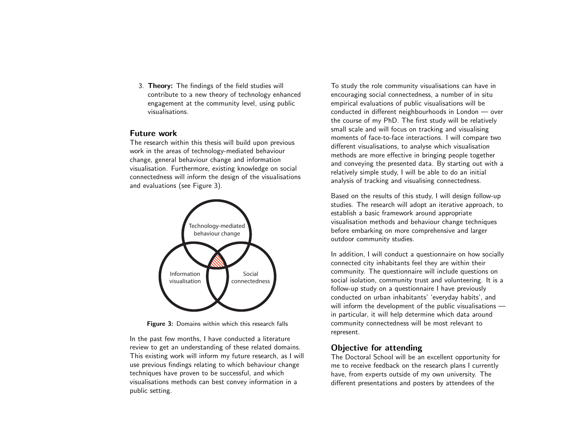3. Theory: The findings of the field studies will contribute to a new theory of technology enhanced engagement at the community level, using public visualisations.

# Future work

The research within this thesis will build upon previous work in the areas of technology-mediated behaviour change, general behaviour change and information visualisation. Furthermore, existing knowledge on social connectedness will inform the design of the visualisations and evaluations (see Figure [3\)](#page-2-0).



<span id="page-2-0"></span>Figure 3: Domains within which this research falls

In the past few months, I have conducted a literature review to get an understanding of these related domains. This existing work will inform my future research, as I will use previous findings relating to which behaviour change techniques have proven to be successful, and which visualisations methods can best convey information in a public setting.

To study the role community visualisations can have in encouraging social connectedness, a number of in situ empirical evaluations of public visualisations will be conducted in different neighbourhoods in London — over the course of my PhD. The first study will be relatively small scale and will focus on tracking and visualising moments of face-to-face interactions. I will compare two different visualisations, to analyse which visualisation methods are more effective in bringing people together and conveying the presented data. By starting out with a relatively simple study, I will be able to do an initial analysis of tracking and visualising connectedness.

Based on the results of this study, I will design follow-up studies. The research will adopt an iterative approach, to establish a basic framework around appropriate visualisation methods and behaviour change techniques before embarking on more comprehensive and larger outdoor community studies.

In addition, I will conduct a questionnaire on how socially connected city inhabitants feel they are within their community. The questionnaire will include questions on social isolation, community trust and volunteering. It is a follow-up study on a questionnaire I have previously conducted on urban inhabitants' 'everyday habits', and will inform the development of the public visualisations in particular, it will help determine which data around community connectedness will be most relevant to represent.

# Objective for attending

The Doctoral School will be an excellent opportunity for me to receive feedback on the research plans I currently have, from experts outside of my own university. The different presentations and posters by attendees of the